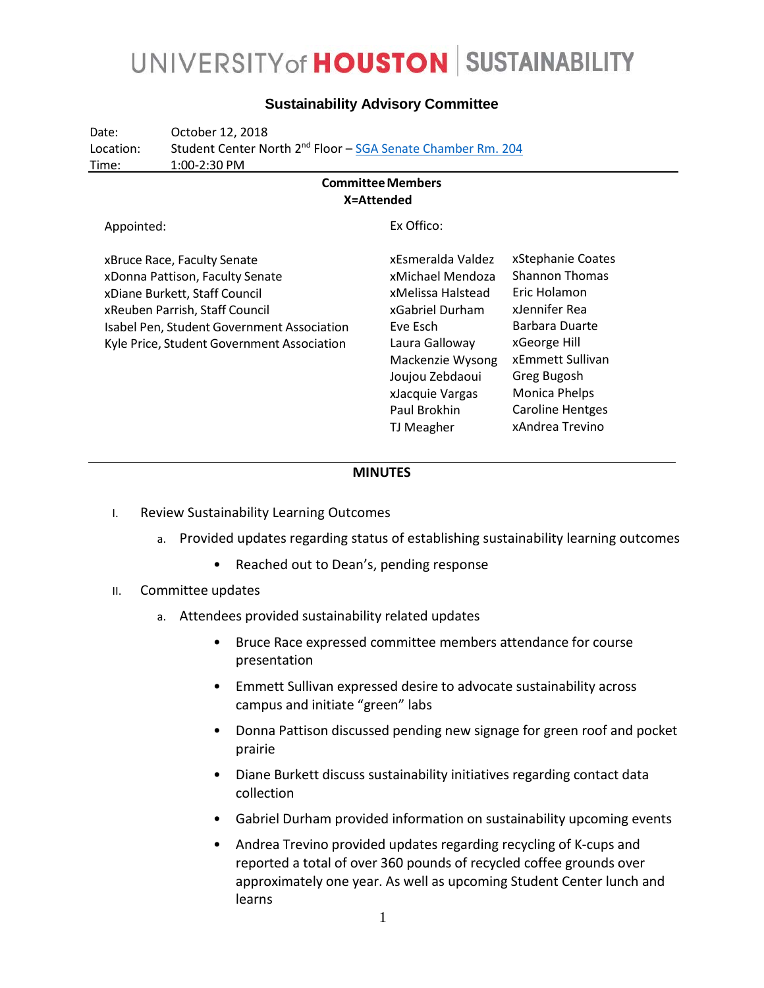### UNIVERSITY of **HOUSTON** SUSTAINABILITY

| Date:<br>Location:<br>Time:                                                                                                                                                                                                   | October 12, 2018<br>Student Center North 2 <sup>nd</sup> Floor – SGA Senate Chamber Rm. 204<br>1:00-2:30 PM |                                                                                                                                                                                                     |                                                                                                                                                                                                                        |
|-------------------------------------------------------------------------------------------------------------------------------------------------------------------------------------------------------------------------------|-------------------------------------------------------------------------------------------------------------|-----------------------------------------------------------------------------------------------------------------------------------------------------------------------------------------------------|------------------------------------------------------------------------------------------------------------------------------------------------------------------------------------------------------------------------|
| <b>Committee Members</b><br>X=Attended                                                                                                                                                                                        |                                                                                                             |                                                                                                                                                                                                     |                                                                                                                                                                                                                        |
| Appointed:                                                                                                                                                                                                                    |                                                                                                             | Ex Offico:                                                                                                                                                                                          |                                                                                                                                                                                                                        |
| xBruce Race, Faculty Senate<br>xDonna Pattison, Faculty Senate<br>xDiane Burkett, Staff Council<br>xReuben Parrish, Staff Council<br>Isabel Pen, Student Government Association<br>Kyle Price, Student Government Association |                                                                                                             | xEsmeralda Valdez<br>xMichael Mendoza<br>xMelissa Halstead<br>xGabriel Durham<br>Eve Esch<br>Laura Galloway<br>Mackenzie Wysong<br>Joujou Zebdaoui<br>xJacquie Vargas<br>Paul Brokhin<br>TJ Meagher | xStephanie Coates<br><b>Shannon Thomas</b><br>Eric Holamon<br>xJennifer Rea<br>Barbara Duarte<br>xGeorge Hill<br>xEmmett Sullivan<br>Greg Bugosh<br><b>Monica Phelps</b><br><b>Caroline Hentges</b><br>xAndrea Trevino |

#### **Sustainability Advisory Committee**

#### **MINUTES**

- I. Review Sustainability Learning Outcomes
	- a. Provided updates regarding status of establishing sustainability learning outcomes
		- Reached out to Dean's, pending response
- II. Committee updates
	- a. Attendees provided sustainability related updates
		- Bruce Race expressed committee members attendance for course presentation
		- Emmett Sullivan expressed desire to advocate sustainability across campus and initiate "green" labs
		- Donna Pattison discussed pending new signage for green roof and pocket prairie
		- Diane Burkett discuss sustainability initiatives regarding contact data collection
		- Gabriel Durham provided information on sustainability upcoming events
		- Andrea Trevino provided updates regarding recycling of K-cups and reported a total of over 360 pounds of recycled coffee grounds over approximately one year. As well as upcoming Student Center lunch and learns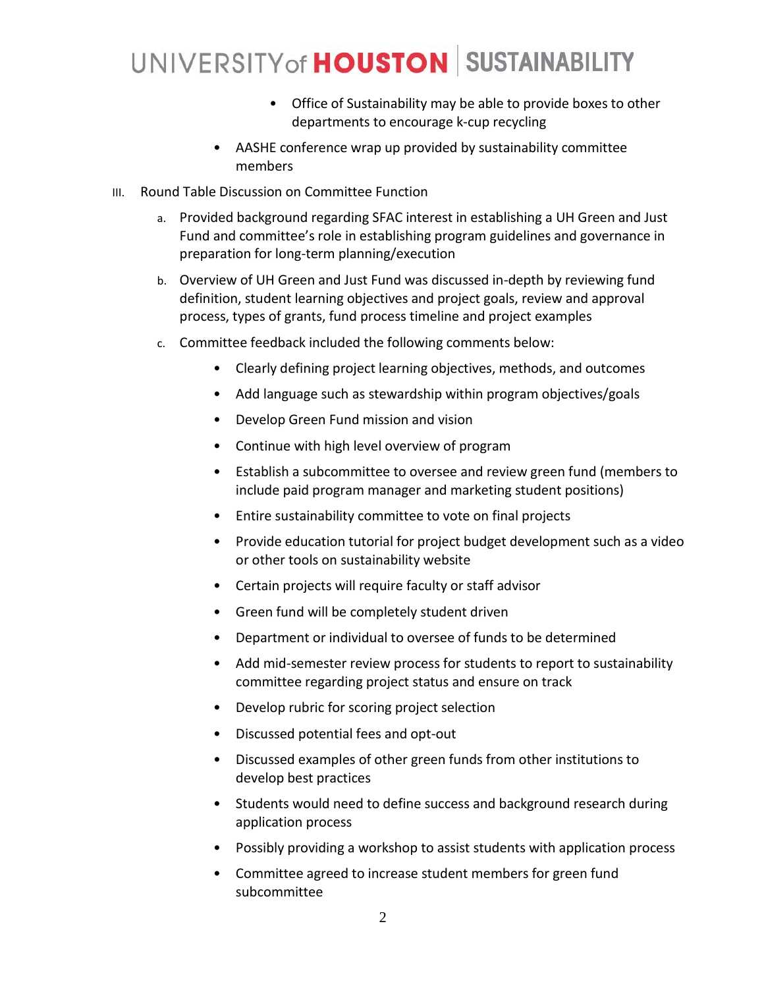# UNIVERSITY of **HOUSTON** SUSTAINABILITY

- Office of Sustainability may be able to provide boxes to other departments to encourage k-cup recycling
- AASHE conference wrap up provided by sustainability committee members
- III. Round Table Discussion on Committee Function
	- a. Provided background regarding SFAC interest in establishing a UH Green and Just Fund and committee's role in establishing program guidelines and governance in preparation for long-term planning/execution
	- b. Overview of UH Green and Just Fund was discussed in-depth by reviewing fund definition, student learning objectives and project goals, review and approval process, types of grants, fund process timeline and project examples
	- c. Committee feedback included the following comments below:
		- Clearly defining project learning objectives, methods, and outcomes
		- Add language such as stewardship within program objectives/goals
		- Develop Green Fund mission and vision
		- Continue with high level overview of program
		- Establish a subcommittee to oversee and review green fund (members to include paid program manager and marketing student positions)
		- Entire sustainability committee to vote on final projects
		- Provide education tutorial for project budget development such as a video or other tools on sustainability website
		- Certain projects will require faculty or staff advisor
		- Green fund will be completely student driven
		- Department or individual to oversee of funds to be determined
		- Add mid-semester review process for students to report to sustainability committee regarding project status and ensure on track
		- Develop rubric for scoring project selection
		- Discussed potential fees and opt-out
		- Discussed examples of other green funds from other institutions to develop best practices
		- Students would need to define success and background research during application process
		- Possibly providing a workshop to assist students with application process
		- Committee agreed to increase student members for green fund subcommittee